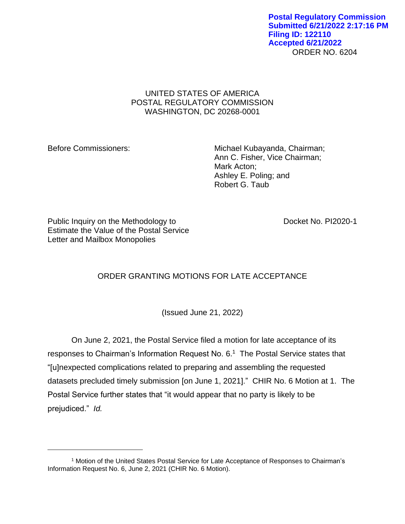ORDER NO. 6204 **Postal Regulatory Commission Submitted 6/21/2022 2:17:16 PM Filing ID: 122110 Accepted 6/21/2022**

## UNITED STATES OF AMERICA POSTAL REGULATORY COMMISSION WASHINGTON, DC 20268-0001

Before Commissioners: Michael Kubayanda, Chairman; Ann C. Fisher, Vice Chairman; Mark Acton; Ashley E. Poling; and Robert G. Taub

Public Inquiry on the Methodology to Docket No. PI2020-1 Estimate the Value of the Postal Service Letter and Mailbox Monopolies

## ORDER GRANTING MOTIONS FOR LATE ACCEPTANCE

(Issued June 21, 2022)

On June 2, 2021, the Postal Service filed a motion for late acceptance of its responses to Chairman's Information Request No. 6.<sup>1</sup> The Postal Service states that "[u]nexpected complications related to preparing and assembling the requested datasets precluded timely submission [on June 1, 2021]." CHIR No. 6 Motion at 1. The Postal Service further states that "it would appear that no party is likely to be prejudiced." *Id.*

<sup>1</sup> Motion of the United States Postal Service for Late Acceptance of Responses to Chairman's Information Request No. 6, June 2, 2021 (CHIR No. 6 Motion).